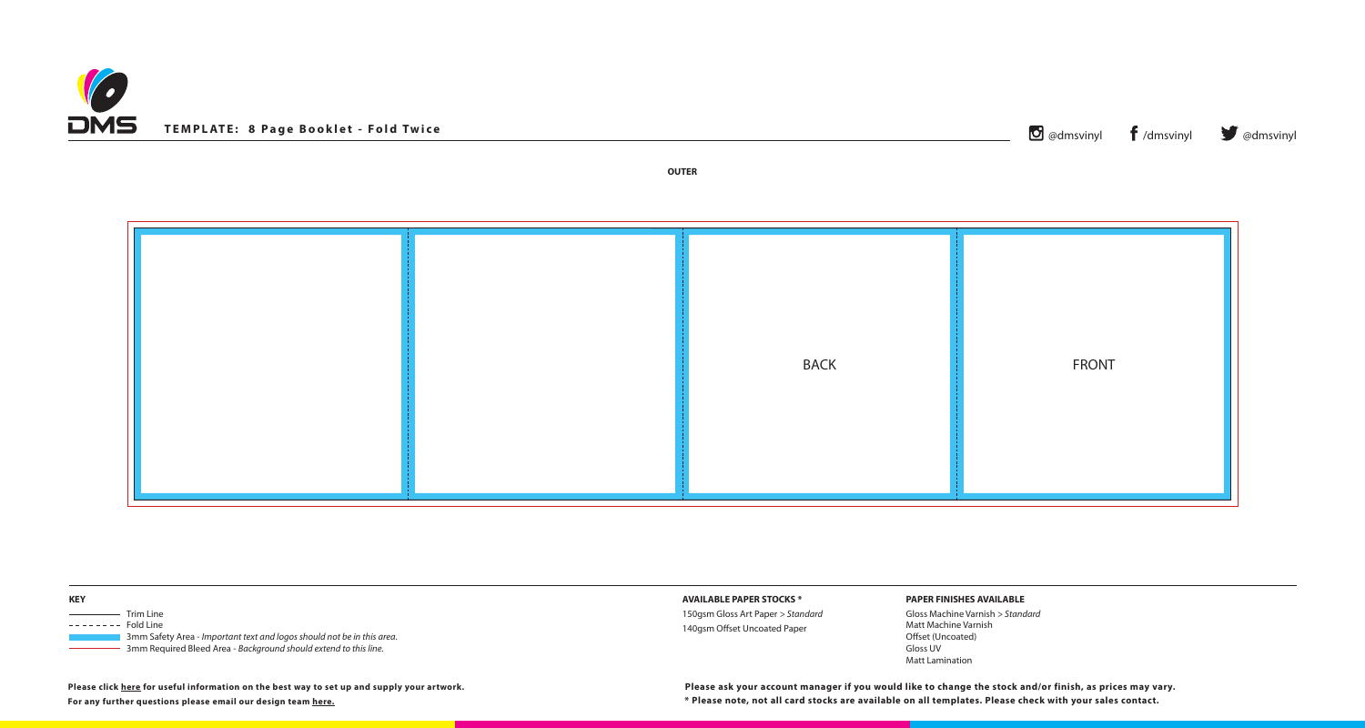

**OUTER**

| $\bullet$ @dmsvinyl $\bullet$ /dmsvinyl $\bullet$ @dmsvinyl |  |
|-------------------------------------------------------------|--|
|                                                             |  |

**PAPER STOCKS \*** 

**150gsm Standard** Standard set Uncoated Paper

| <b>KEY</b>                                                                                                                                                           | <b>AVAILABLE</b> |
|----------------------------------------------------------------------------------------------------------------------------------------------------------------------|------------------|
| <b>Trim Line</b>                                                                                                                                                     | 150gsm Glos      |
| ---------<br>Fold Line<br>3mm Safety Area - Important text and logos should not be in this area.<br>3mm Required Bleed Area - Background should extend to this line. | 140gsm Offs      |

## **PAPER FINISHES AVAILABLE**

Gloss Machine Varnish *> Standard* Matt Machine Varnish Offset (Uncoated) Gloss UV Matt Lamination

**For any further questions please email our design team [here.](mailto:graphics%40discmanufacturingservices.com?subject=Template%20Enquiry)**



**Please click [here](https://www.discmanufacturingservices.com/cd/templates#artwork-specifications) for useful information on the best way to set up and supply your artwork.**

**\* Please note, not all card stocks are available on all templates. Please check with your sales contact. Please ask your account manager if you would like to change the stock and/or finish, as prices may vary.**